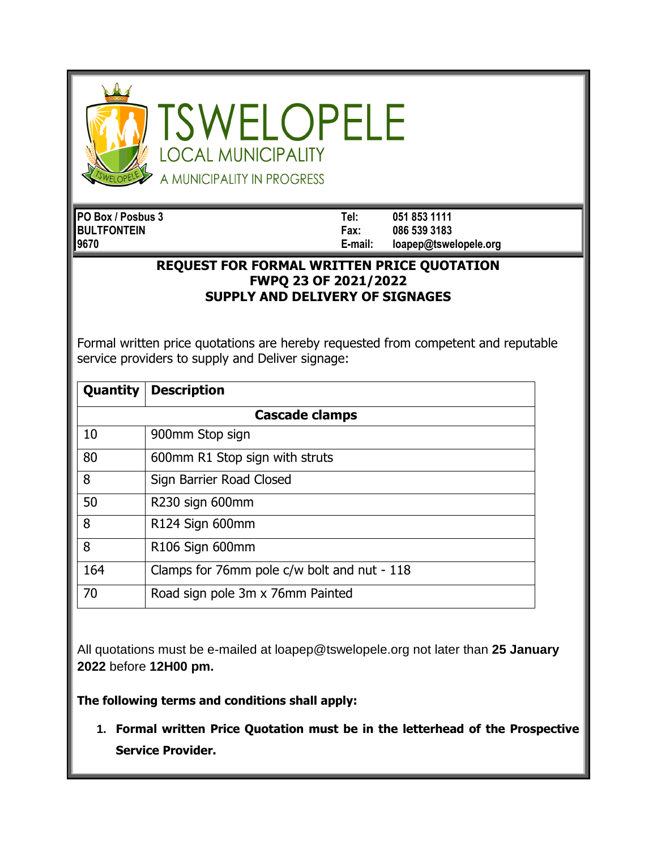

**ISWELOPELE OCAL MUNICIPALITY** A MUNICIPALITY IN PROGRESS

**PO Box / Posbus 3 Tel: 051 853 1111 BULTFONTEIN Fax: 086 539 3183 9670 E-mail: loapep@tswelopele.org**

## **REQUEST FOR FORMAL WRITTEN PRICE QUOTATION FWPQ 23 OF 2021/2022 SUPPLY AND DELIVERY OF SIGNAGES**

Formal written price quotations are hereby requested from competent and reputable service providers to supply and Deliver signage:

| Quantity              | <b>Description</b>                          |
|-----------------------|---------------------------------------------|
| <b>Cascade clamps</b> |                                             |
| 10                    | 900mm Stop sign                             |
| 80                    | 600mm R1 Stop sign with struts              |
| 8                     | Sign Barrier Road Closed                    |
| 50                    | R230 sign 600mm                             |
| 8                     | R124 Sign 600mm                             |
| 8                     | R106 Sign 600mm                             |
| 164                   | Clamps for 76mm pole c/w bolt and nut - 118 |
| 70                    | Road sign pole 3m x 76mm Painted            |

All quotations must be e-mailed at loapep@tswelopele.org not later than **25 January 2022** before **12H00 pm.**

**The following terms and conditions shall apply:**

**1. Formal written Price Quotation must be in the letterhead of the Prospective Service Provider.**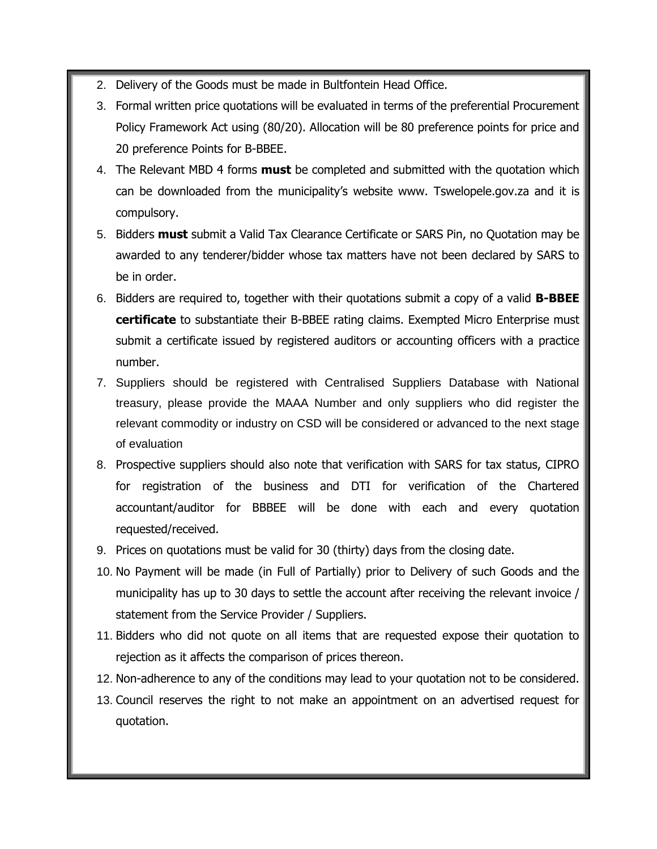- 2. Delivery of the Goods must be made in Bultfontein Head Office.
- 3. Formal written price quotations will be evaluated in terms of the preferential Procurement Policy Framework Act using (80/20). Allocation will be 80 preference points for price and 20 preference Points for B-BBEE.
- 4. The Relevant MBD 4 forms **must** be completed and submitted with the quotation which can be downloaded from the municipality's website www. Tswelopele.gov.za and it is compulsory.
- 5. Bidders **must** submit a Valid Tax Clearance Certificate or SARS Pin, no Quotation may be awarded to any tenderer/bidder whose tax matters have not been declared by SARS to be in order.
- 6. Bidders are required to, together with their quotations submit a copy of a valid **B-BBEE certificate** to substantiate their B-BBEE rating claims. Exempted Micro Enterprise must submit a certificate issued by registered auditors or accounting officers with a practice number.
- 7. Suppliers should be registered with Centralised Suppliers Database with National treasury, please provide the MAAA Number and only suppliers who did register the relevant commodity or industry on CSD will be considered or advanced to the next stage of evaluation
- 8. Prospective suppliers should also note that verification with SARS for tax status, CIPRO for registration of the business and DTI for verification of the Chartered accountant/auditor for BBBEE will be done with each and every quotation requested/received.
- 9. Prices on quotations must be valid for 30 (thirty) days from the closing date.
- 10. No Payment will be made (in Full of Partially) prior to Delivery of such Goods and the municipality has up to 30 days to settle the account after receiving the relevant invoice / statement from the Service Provider / Suppliers.
- 11. Bidders who did not quote on all items that are requested expose their quotation to rejection as it affects the comparison of prices thereon.
- 12. Non-adherence to any of the conditions may lead to your quotation not to be considered.
- 13. Council reserves the right to not make an appointment on an advertised request for quotation.